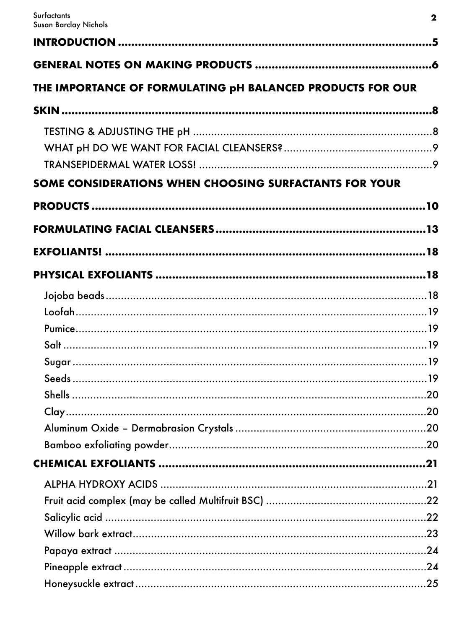| THE IMPORTANCE OF FORMULATING pH BALANCED PRODUCTS FOR OUR |     |
|------------------------------------------------------------|-----|
|                                                            |     |
|                                                            |     |
| SOME CONSIDERATIONS WHEN CHOOSING SURFACTANTS FOR YOUR     |     |
|                                                            |     |
|                                                            |     |
|                                                            |     |
|                                                            |     |
|                                                            |     |
|                                                            |     |
|                                                            |     |
|                                                            |     |
|                                                            |     |
|                                                            |     |
|                                                            |     |
|                                                            |     |
|                                                            |     |
|                                                            |     |
|                                                            |     |
|                                                            |     |
|                                                            |     |
|                                                            |     |
|                                                            |     |
|                                                            |     |
|                                                            |     |
|                                                            | .25 |